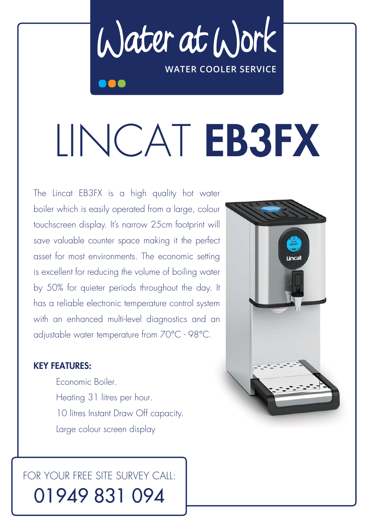Water at Work **WATER COOLER SERVICE**

# LINCAT EB3FX

The Lincat EB3FX is a high quality hot water boiler which is easily operated from a large, colour touchscreen display. It's narrow 25cm footprint will save valuable counter space making it the perfect asset for most environments. The economic setting is excellent for reducing the volume of boiling water by 50% for quieter periods throughout the day. It has a reliable electronic temperature control system with an enhanced multi-level diagnostics and an adjustable water temperature from 70°C - 98°C.

#### KEY FEATURES:

 Economic Boiler. Heating 31 litres per hour. 10 litres Instant Draw Off capacity. Large colour screen display

## FOR YOUR FREE SITE SURVEY CALL: 01949 831 094